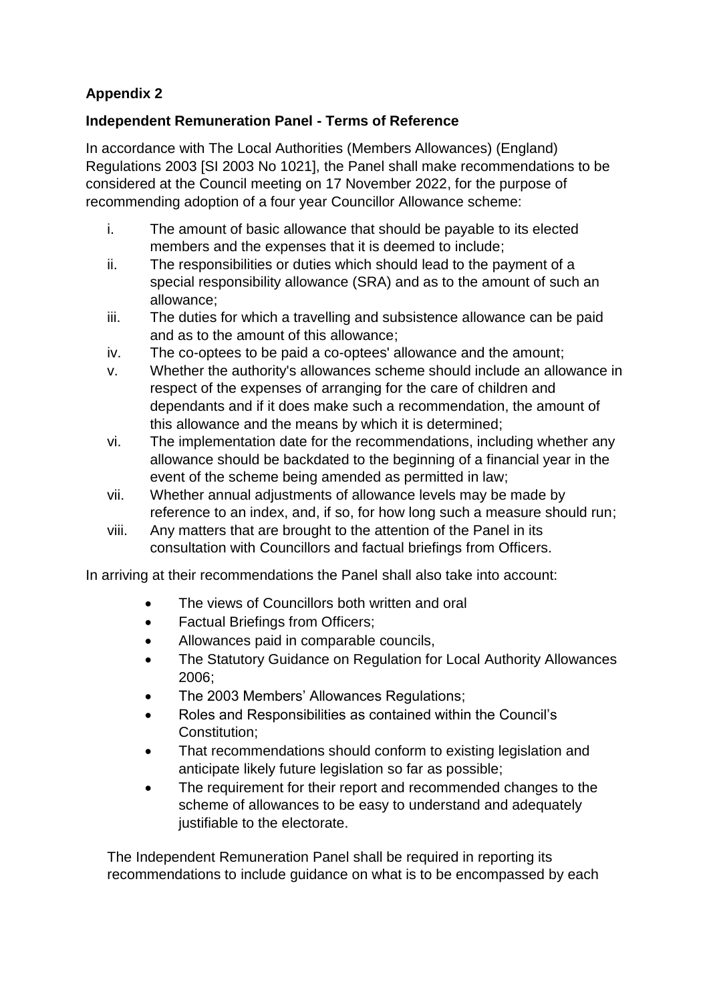## **Appendix 2**

## **Independent Remuneration Panel - Terms of Reference**

In accordance with The Local Authorities (Members Allowances) (England) Regulations 2003 [SI 2003 No 1021], the Panel shall make recommendations to be considered at the Council meeting on 17 November 2022, for the purpose of recommending adoption of a four year Councillor Allowance scheme:

- i. The amount of basic allowance that should be payable to its elected members and the expenses that it is deemed to include;
- ii. The responsibilities or duties which should lead to the payment of a special responsibility allowance (SRA) and as to the amount of such an allowance;
- iii. The duties for which a travelling and subsistence allowance can be paid and as to the amount of this allowance;
- iv. The co-optees to be paid a co-optees' allowance and the amount;
- v. Whether the authority's allowances scheme should include an allowance in respect of the expenses of arranging for the care of children and dependants and if it does make such a recommendation, the amount of this allowance and the means by which it is determined;
- vi. The implementation date for the recommendations, including whether any allowance should be backdated to the beginning of a financial year in the event of the scheme being amended as permitted in law;
- vii. Whether annual adjustments of allowance levels may be made by reference to an index, and, if so, for how long such a measure should run;
- viii. Any matters that are brought to the attention of the Panel in its consultation with Councillors and factual briefings from Officers.

In arriving at their recommendations the Panel shall also take into account:

- The views of Councillors both written and oral
- Factual Briefings from Officers;
- Allowances paid in comparable councils,
- The Statutory Guidance on Regulation for Local Authority Allowances 2006;
- The 2003 Members' Allowances Regulations;
- Roles and Responsibilities as contained within the Council's Constitution;
- That recommendations should conform to existing legislation and anticipate likely future legislation so far as possible;
- The requirement for their report and recommended changes to the scheme of allowances to be easy to understand and adequately justifiable to the electorate.

The Independent Remuneration Panel shall be required in reporting its recommendations to include guidance on what is to be encompassed by each